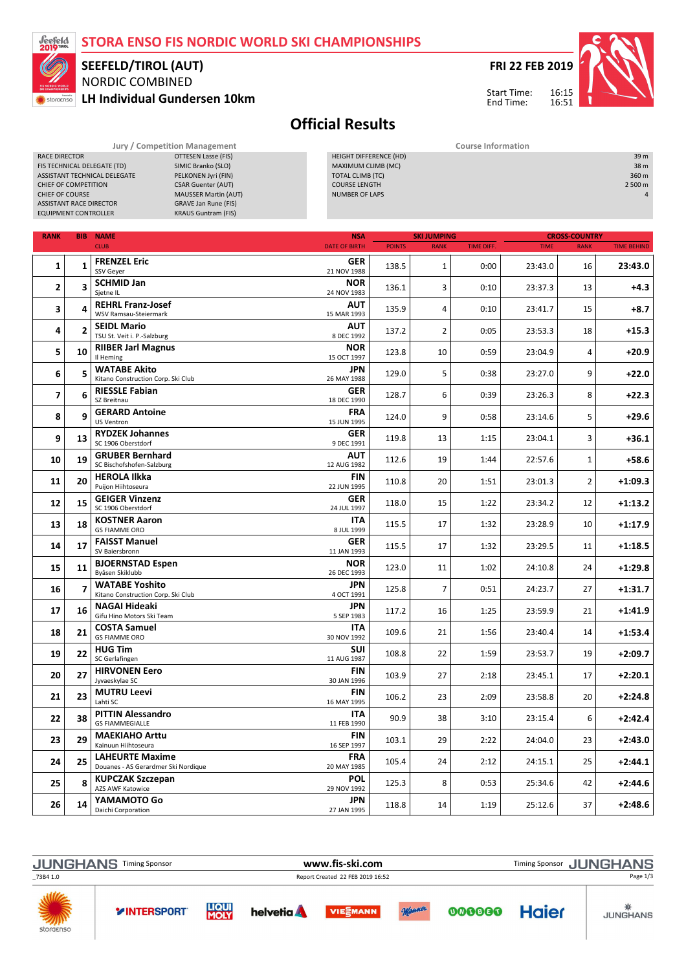#### STORA ENSO FIS NORDIC WORLD SKI CHAMPIONSHIPS



### NORDIC COMBINED SEEFELD/TIROL (AUT)

RACE DIRECTOR **CONTROLL CONTROLL CONTROLL**<br>FIS TECHNICAL DELEGATE (TD) SIMIC Branko (SLO) FIS TECHNICAL DELEGATE (TD) SIMIC Branko (SLO)<br>ASSISTANT TECHNICAL DELEGATE PELKONEN Jyri (FIN) ASSISTANT TECHNICAL DELEGATE<br>CHIEF OF COMPETITION CSAR Guenter (AUT)

LH Individual Gundersen 10km



16:15 16:51

Start Time: End Time:



## Official Results

| CHIEF OF COMPETITION<br>CHIEF OF COURSE<br><b>ASSISTANT RACE DIRECTOR</b><br><b>EQUIPMENT CONTROLLER</b> |                | <b>CSAR Guenter (AUT)</b><br><b>MAUSSER Martin (AUT)</b><br><b>GRAVE Jan Rune (FIS)</b><br><b>KRAUS Guntram (FIS)</b> | <b>COURSE LENGTH</b><br><b>NUMBER OF LAPS</b> |               |                    |            |             |                      | 2 500 m            |  |
|----------------------------------------------------------------------------------------------------------|----------------|-----------------------------------------------------------------------------------------------------------------------|-----------------------------------------------|---------------|--------------------|------------|-------------|----------------------|--------------------|--|
| <b>RANK</b>                                                                                              |                | <b>BIB NAME</b>                                                                                                       | <b>NSA</b>                                    |               | <b>SKI JUMPING</b> |            |             | <b>CROSS-COUNTRY</b> |                    |  |
|                                                                                                          |                | <b>CLUB</b>                                                                                                           | <b>DATE OF BIRTH</b>                          | <b>POINTS</b> | <b>RANK</b>        | TIME DIFF. | <b>TIME</b> | <b>RANK</b>          | <b>TIME BEHIND</b> |  |
| 1                                                                                                        | 1              | <b>FRENZEL Eric</b><br><b>SSV Gever</b>                                                                               | <b>GER</b><br>21 NOV 1988                     | 138.5         | 1                  | 0:00       | 23:43.0     | 16                   | 23:43.0            |  |
| 2                                                                                                        | 3              | <b>SCHMID Jan</b><br>Sietne IL                                                                                        | <b>NOR</b><br>24 NOV 1983                     | 136.1         | 3                  | 0:10       | 23:37.3     | 13                   | $+4.3$             |  |
| 3                                                                                                        | 4              | <b>REHRL Franz-Josef</b><br>WSV Ramsau-Steiermark                                                                     | AUT<br>15 MAR 1993                            | 135.9         | 4                  | 0:10       | 23:41.7     | 15                   | $+8.7$             |  |
| 4                                                                                                        | $\overline{2}$ | <b>SEIDL Mario</b><br>TSU St. Veit i. P.-Salzburg                                                                     | AUT<br>8 DEC 1992                             | 137.2         | $\overline{2}$     | 0:05       | 23:53.3     | 18                   | +15.3              |  |
| 5                                                                                                        | 10             | <b>RIIBER Jarl Magnus</b><br>Il Heming                                                                                | <b>NOR</b><br>15 OCT 1997                     | 123.8         | 10                 | 0:59       | 23:04.9     | 4                    | +20.9              |  |
| 6                                                                                                        | 5              | <b>WATABE Akito</b><br>Kitano Construction Corp. Ski Club                                                             | JPN<br>26 MAY 1988                            | 129.0         | 5                  | 0:38       | 23:27.0     | 9                    | +22.0              |  |
| 7                                                                                                        | 6              | <b>RIESSLE Fabian</b><br>SZ Breitnau                                                                                  | <b>GER</b><br>18 DEC 1990                     | 128.7         | 6                  | 0:39       | 23:26.3     | 8                    | +22.3              |  |
| 8                                                                                                        | 9              | <b>GERARD Antoine</b><br><b>US Ventron</b>                                                                            | <b>FRA</b><br>15 JUN 1995                     | 124.0         | 9                  | 0:58       | 23:14.6     | 5                    | +29.6              |  |
| 9                                                                                                        | 13             | <b>RYDZEK Johannes</b><br>SC 1906 Oberstdorf                                                                          | GER<br>9 DEC 1991                             | 119.8         | 13                 | 1:15       | 23:04.1     | 3                    | +36.1              |  |
| 10                                                                                                       | 19             | <b>GRUBER Bernhard</b><br>SC Bischofshofen-Salzburg                                                                   | <b>AUT</b><br>12 AUG 1982                     | 112.6         | 19                 | 1:44       | 22:57.6     | 1                    | +58.6              |  |
| 11                                                                                                       | 20             | <b>HEROLA Ilkka</b><br>Puijon Hiihtoseura                                                                             | FIN<br>22 JUN 1995                            | 110.8         | 20                 | 1:51       | 23:01.3     | $\overline{2}$       | +1:09.3            |  |
| 12                                                                                                       | 15             | <b>GEIGER Vinzenz</b><br>SC 1906 Oberstdorf                                                                           | <b>GER</b><br>24 JUL 1997                     | 118.0         | 15                 | 1:22       | 23:34.2     | 12                   | $+1:13.2$          |  |
| 13                                                                                                       | 18             | <b>KOSTNER Aaron</b><br><b>GS FIAMME ORO</b>                                                                          | <b>ITA</b><br>8 JUL 1999                      | 115.5         | 17                 | 1:32       | 23:28.9     | 10                   | $+1:17.9$          |  |
| 14                                                                                                       | 17             | <b>FAISST Manuel</b><br>SV Baiersbronn                                                                                | <b>GER</b><br>11 JAN 1993                     | 115.5         | 17                 | 1:32       | 23:29.5     | 11                   | +1:18.5            |  |
| 15                                                                                                       | 11             | <b>BJOERNSTAD Espen</b><br>Byåsen Skiklubb                                                                            | <b>NOR</b><br>26 DEC 1993                     | 123.0         | 11                 | 1:02       | 24:10.8     | 24                   | +1:29.8            |  |
| 16                                                                                                       | $\overline{7}$ | <b>WATABE Yoshito</b><br>Kitano Construction Corp. Ski Club                                                           | JPN<br>4 OCT 1991                             | 125.8         | $\overline{7}$     | 0:51       | 24:23.7     | 27                   | $+1:31.7$          |  |
| 17                                                                                                       | 16             | <b>NAGAI Hideaki</b><br>Gifu Hino Motors Ski Team                                                                     | JPN<br>5 SEP 1983                             | 117.2         | 16                 | 1:25       | 23:59.9     | 21                   | +1:41.9            |  |
| 18                                                                                                       | 21             | <b>COSTA Samuel</b><br><b>GS FIAMME ORO</b>                                                                           | ITA<br>30 NOV 1992                            | 109.6         | 21                 | 1:56       | 23:40.4     | 14                   | +1:53.4            |  |
| 19                                                                                                       | 22             | <b>HUG Tim</b><br>SC Gerlafingen                                                                                      | SUI<br>11 AUG 1987                            | 108.8         | 22                 | 1:59       | 23:53.7     | 19                   | $+2:09.7$          |  |
| 20                                                                                                       | 27             | <b>HIRVONEN Eero</b><br>Jyvaeskylae SC                                                                                | FIN<br>30 JAN 1996                            | 103.9         | 27                 | 2:18       | 23:45.1     | 17                   | $+2:20.1$          |  |
| 21                                                                                                       | 23             | <b>MUTRU Leevi</b><br>Lahti SC                                                                                        | FIN<br>16 MAY 1995                            | 106.2         | 23                 | 2:09       | 23:58.8     | 20                   | $+2:24.8$          |  |
| 22                                                                                                       | 38             | <b>PITTIN Alessandro</b><br><b>GS FIAMMEGIALLE</b>                                                                    | ITA<br>11 FEB 1990                            | 90.9          | 38                 | 3:10       | 23:15.4     | 6                    | $+2:42.4$          |  |
| 23                                                                                                       | 29             | <b>MAEKIAHO Arttu</b><br>Kainuun Hiihtoseura                                                                          | FIN<br>16 SEP 1997                            | 103.1         | 29                 | 2:22       | 24:04.0     | 23                   | $+2:43.0$          |  |
| 24                                                                                                       | 25             | <b>LAHEURTE Maxime</b><br>Douanes - AS Gerardmer Ski Nordique                                                         | <b>FRA</b><br>20 MAY 1985                     | 105.4         | 24                 | 2:12       | 24:15.1     | 25                   | $+2:44.1$          |  |
| 25                                                                                                       | 8              | <b>KUPCZAK Szczepan</b><br><b>AZS AWF Katowice</b>                                                                    | <b>POL</b><br>29 NOV 1992                     | 125.3         | 8                  | 0:53       | 25:34.6     | 42                   | $+2:44.6$          |  |
| 26                                                                                                       | 14             | YAMAMOTO Go<br>Daichi Corporation                                                                                     | JPN<br>27 JAN 1995                            | 118.8         | 14                 | 1:19       | 25:12.6     | 37                   | $+2:48.6$          |  |



Jury / Competition Management **Course Information** HEIGHT DIFFERENCE (HD) 39 m MAXIMUM CLIMB (MC)<br>
MAXIMUM CLIMB (MC)<br>
TOTAL CLIMB (TC) 360 m TOTAL CLIMB (TC) 360 m<br>
COURSE LENGTH 2 500 m<br>
2 500 m COURSE LENGTH<br>
COURSE LENGTH<br>
NUMBER OF LAPS
2500 m<br>
2500 m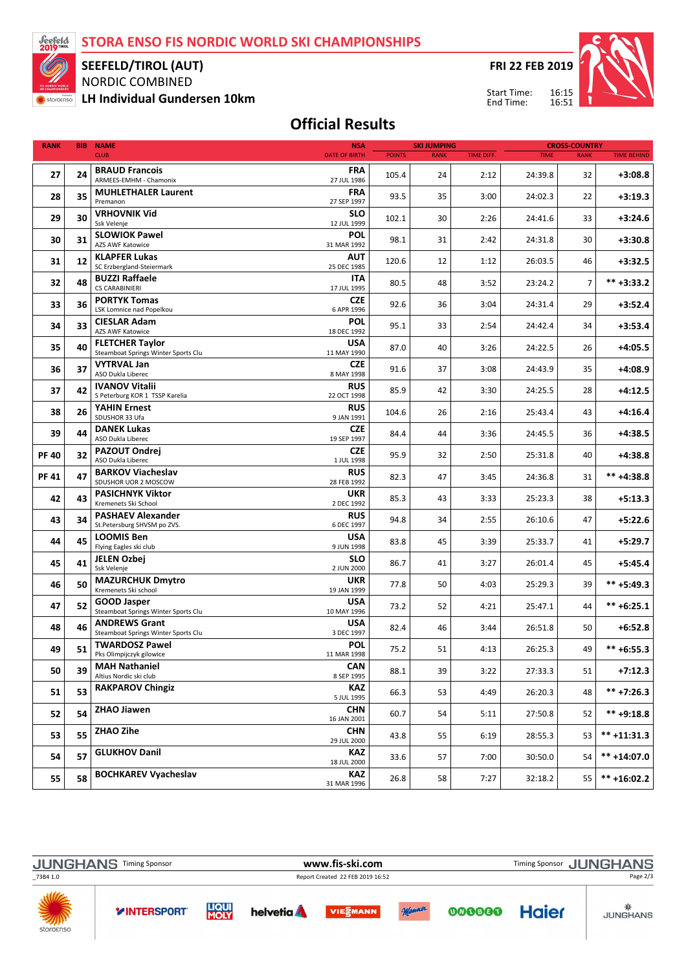STORA ENSO FIS NORDIC WORLD SKI CHAMPIONSHIPS



SEEFELD/TIROL (AUT)

NORDIC COMBINED

LH Individual Gundersen 10km

FRI 22 FEB 2019

Start Time: End Time:



## Official Results

| <b>RANK</b> | <b>BIB</b> | <b>NAME</b>                                                   | <b>SKI JUMPING</b><br><b>NSA</b> |               | <b>CROSS-COUNTRY</b> |                   |             |                |                    |
|-------------|------------|---------------------------------------------------------------|----------------------------------|---------------|----------------------|-------------------|-------------|----------------|--------------------|
|             |            | <b>CLUB</b>                                                   | <b>DATE OF BIRTH</b>             | <b>POINTS</b> | <b>RANK</b>          | <b>TIME DIFF.</b> | <b>TIME</b> | <b>RANK</b>    | <b>TIME BEHIND</b> |
| 27          | 24         | <b>BRAUD Francois</b><br>ARMEES-EMHM - Chamonix               | <b>FRA</b><br>27 JUL 1986        | 105.4         | 24                   | 2:12              | 24:39.8     | 32             | $+3:08.8$          |
| 28          | 35         | <b>MUHLETHALER Laurent</b><br>Premanon                        | <b>FRA</b><br>27 SEP 1997        | 93.5          | 35                   | 3:00              | 24:02.3     | 22             | $+3:19.3$          |
| 29          | 30         | <b>VRHOVNIK Vid</b><br>Ssk Velenje                            | <b>SLO</b><br>12 JUL 1999        | 102.1         | 30                   | 2:26              | 24:41.6     | 33             | $+3:24.6$          |
| 30          | 31         | <b>SLOWIOK Pawel</b><br><b>AZS AWF Katowice</b>               | POL<br>31 MAR 1992               | 98.1          | 31                   | 2:42              | 24:31.8     | 30             | $+3:30.8$          |
| 31          | 12         | <b>KLAPFER Lukas</b><br>SC Erzbergland-Steiermark             | <b>AUT</b><br>25 DEC 1985        | 120.6         | 12                   | 1:12              | 26:03.5     | 46             | $+3:32.5$          |
| 32          | 48         | <b>BUZZI Raffaele</b><br><b>CS CARABINIERI</b>                | <b>ITA</b><br>17 JUL 1995        | 80.5          | 48                   | 3:52              | 23:24.2     | $\overline{7}$ | $*** +3:33.2$      |
| 33          | 36         | <b>PORTYK Tomas</b><br>LSK Lomnice nad Popelkou               | <b>CZE</b><br>6 APR 1996         | 92.6          | 36                   | 3:04              | 24:31.4     | 29             | $+3:52.4$          |
| 34          | 33         | <b>CIESLAR Adam</b><br><b>AZS AWF Katowice</b>                | <b>POL</b><br>18 DEC 1992        | 95.1          | 33                   | 2:54              | 24:42.4     | 34             | $+3:53.4$          |
| 35          | 40         | <b>FLETCHER Taylor</b><br>Steamboat Springs Winter Sports Clu | <b>USA</b><br>11 MAY 1990        | 87.0          | 40                   | 3:26              | 24:22.5     | 26             | $+4:05.5$          |
| 36          | 37         | <b>VYTRVAL Jan</b><br>ASO Dukla Liberec                       | <b>CZE</b><br>8 MAY 1998         | 91.6          | 37                   | 3:08              | 24:43.9     | 35             | $+4:08.9$          |
| 37          | 42         | <b>IVANOV Vitalii</b><br>S Peterburg KOR 1 TSSP Karelia       | <b>RUS</b><br>22 OCT 1998        | 85.9          | 42                   | 3:30              | 24:25.5     | 28             | $+4:12.5$          |
| 38          | 26         | <b>YAHIN Ernest</b><br>SDUSHOR 33 Ufa                         | <b>RUS</b><br>9 JAN 1991         | 104.6         | 26                   | 2:16              | 25:43.4     | 43             | $+4:16.4$          |
| 39          | 44         | <b>DANEK Lukas</b><br>ASO Dukla Liberec                       | <b>CZE</b><br>19 SEP 1997        | 84.4          | 44                   | 3:36              | 24:45.5     | 36             | $+4:38.5$          |
| <b>PF40</b> | 32         | <b>PAZOUT Ondrej</b><br>ASO Dukla Liberec                     | <b>CZE</b><br>1 JUL 1998         | 95.9          | 32                   | 2:50              | 25:31.8     | 40             | +4:38.8            |
| <b>PF41</b> | 47         | <b>BARKOV Viacheslav</b><br>SDUSHOR UOR 2 MOSCOW              | <b>RUS</b><br>28 FEB 1992        | 82.3          | 47                   | 3:45              | 24:36.8     | 31             | ** +4:38.8         |
| 42          | 43         | <b>PASICHNYK Viktor</b><br>Kremenets Ski School               | <b>UKR</b><br>2 DEC 1992         | 85.3          | 43                   | 3:33              | 25:23.3     | 38             | $+5:13.3$          |
| 43          | 34         | <b>PASHAEV Alexander</b><br>St.Petersburg SHVSM po ZVS.       | <b>RUS</b><br>6 DEC 1997         | 94.8          | 34                   | 2:55              | 26:10.6     | 47             | $+5:22.6$          |
| 44          | 45         | <b>LOOMIS Ben</b><br>Flying Eagles ski club                   | <b>USA</b><br>9 JUN 1998         | 83.8          | 45                   | 3:39              | 25:33.7     | 41             | $+5:29.7$          |
| 45          | 41         | <b>JELEN Ozbej</b><br>Ssk Velenje                             | SLO<br>2 JUN 2000                | 86.7          | 41                   | 3:27              | 26:01.4     | 45             | $+5:45.4$          |
| 46          | 50         | <b>MAZURCHUK Dmytro</b><br>Kremenets Ski school               | <b>UKR</b><br>19 JAN 1999        | 77.8          | 50                   | 4:03              | 25:29.3     | 39             | $*** + 5:49.3$     |
| 47          | 52         | <b>GOOD Jasper</b><br>Steamboat Springs Winter Sports Clu     | <b>USA</b><br>10 MAY 1996        | 73.2          | 52                   | 4:21              | 25:47.1     | 44             | $*** + 6:25.1$     |
| 48          | 46         | <b>ANDREWS Grant</b><br>Steamboat Springs Winter Sports Clu   | <b>USA</b><br>3 DEC 1997         | 82.4          | 46                   | 3:44              | 26:51.8     | 50             | $+6:52.8$          |
| 49          | 51         | <b>TWARDOSZ Pawel</b><br>Pks Olimpijczyk gilowice             | <b>POL</b><br>11 MAR 1998        | 75.2          | 51                   | 4:13              | 26:25.3     | 49             | $*** + 6:55.3$     |
| 50          | 39         | <b>MAH Nathaniel</b><br>Altius Nordic ski club                | <b>CAN</b><br>8 SEP 1995         | 88.1          | 39                   | 3:22              | 27:33.3     | 51             | $+7:12.3$          |
| 51          | 53         | <b>RAKPAROV Chingiz</b>                                       | <b>KAZ</b><br>5 JUL 1995         | 66.3          | 53                   | 4:49              | 26:20.3     | 48             | $*** +7:26.3$      |
| 52          | 54         | <b>ZHAO Jiawen</b>                                            | <b>CHN</b><br>16 JAN 2001        | 60.7          | 54                   | 5:11              | 27:50.8     | 52             | $*** +9:18.8$      |
| 53          | 55         | ZHAO Zihe                                                     | <b>CHN</b><br>29 JUL 2000        | 43.8          | 55                   | 6:19              | 28:55.3     | 53             | $*** + 11:31.3$    |
| 54          | 57         | <b>GLUKHOV Danil</b>                                          | <b>KAZ</b><br>18 JUL 2000        | 33.6          | 57                   | 7:00              | 30:50.0     | 54             | $*** +14:07.0$     |
| 55          | 58         | <b>BOCHKAREV Vyacheslav</b>                                   | <b>KAZ</b><br>31 MAR 1996        | 26.8          | 58                   | 7:27              | 32:18.2     | 55             | $*** + 16:02.2$    |